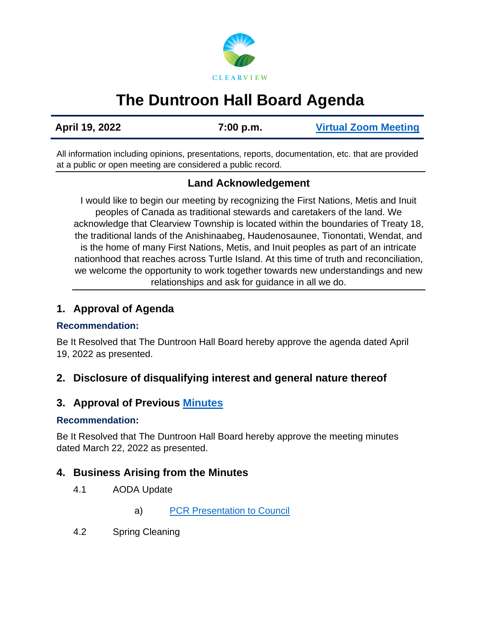

# **The Duntroon Hall Board Agenda**

**April 19, 2022 7:00 p.m. [Virtual Zoom Meeting](https://us02web.zoom.us/j/81571021054)**

All information including opinions, presentations, reports, documentation, etc. that are provided at a public or open meeting are considered a public record.

# **Land Acknowledgement**

I would like to begin our meeting by recognizing the First Nations, Metis and Inuit peoples of Canada as traditional stewards and caretakers of the land. We acknowledge that Clearview Township is located within the boundaries of Treaty 18, the traditional lands of the Anishinaabeg, Haudenosaunee, Tionontati, Wendat, and is the home of many First Nations, Metis, and Inuit peoples as part of an intricate nationhood that reaches across Turtle Island. At this time of truth and reconciliation, we welcome the opportunity to work together towards new understandings and new relationships and ask for guidance in all we do.

## **1. Approval of Agenda**

#### **Recommendation:**

Be It Resolved that The Duntroon Hall Board hereby approve the agenda dated April 19, 2022 as presented.

## **2. Disclosure of disqualifying interest and general nature thereof**

# **3. Approval of Previous [Minutes](https://www.clearview.ca/sites/default/files/uploads/publications/2022-03-22_duntroon_hall_board_minutes.pdf)**

#### **Recommendation:**

Be It Resolved that The Duntroon Hall Board hereby approve the meeting minutes dated March 22, 2022 as presented.

## **4. Business Arising from the Minutes**

- 4.1 AODA Update
	- a) [PCR Presentation to Council](https://www.clearview.ca/sites/default/files/uploads/publications/3_community_halls_accessibility_renovations_-_next_steps.pdf)
- 4.2 Spring Cleaning